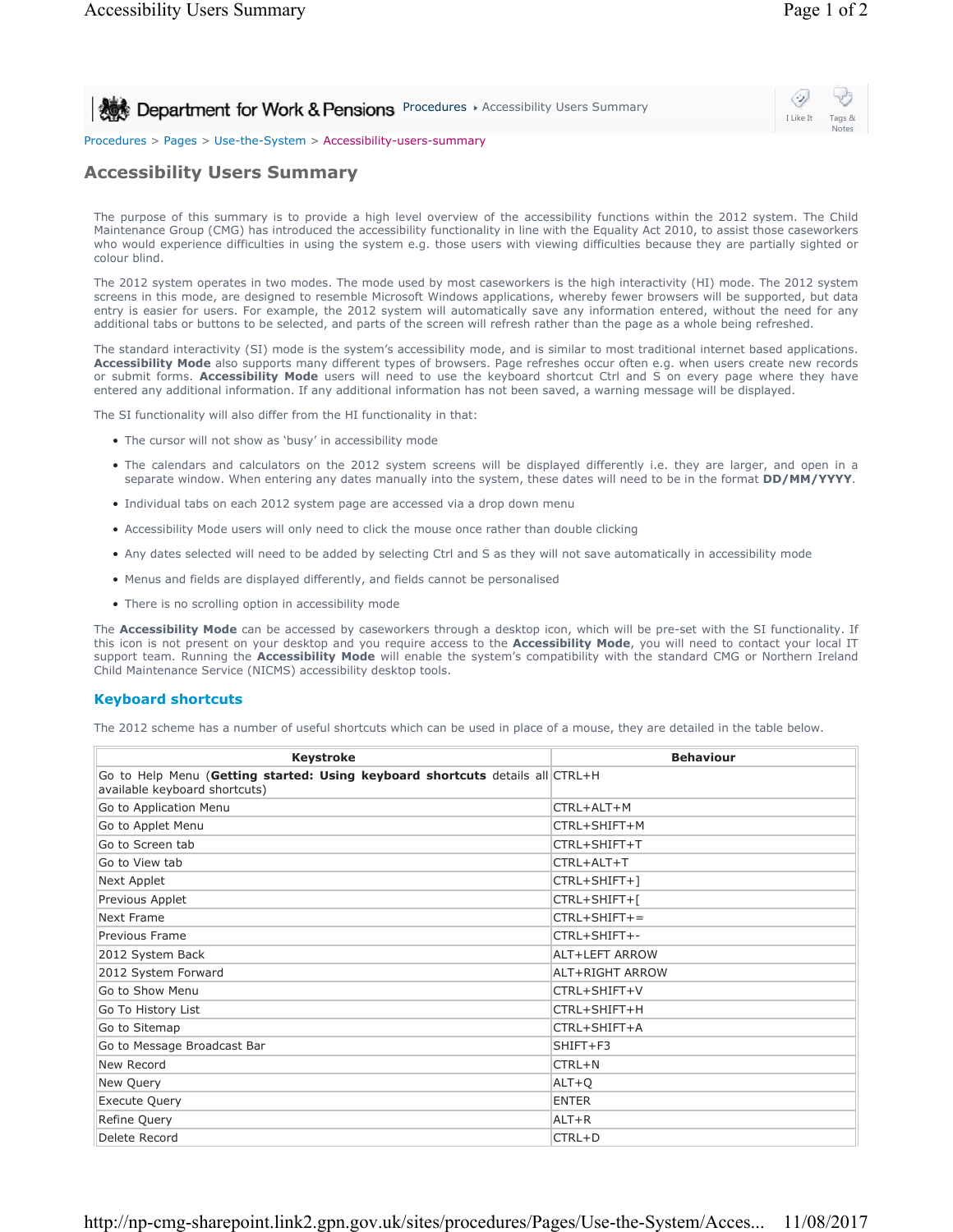# **Procedures > Accessibility Users Summary**

## ⇔ I Like It Tags & Notes

### Procedures > Pages > Use-the-System > Accessibility-users-summary

## **Accessibility Users Summary**

The purpose of this summary is to provide a high level overview of the accessibility functions within the 2012 system. The Child Maintenance Group (CMG) has introduced the accessibility functionality in line with the Equality Act 2010, to assist those caseworkers who would experience difficulties in using the system e.g. those users with viewing difficulties because they are partially sighted or colour blind.

The 2012 system operates in two modes. The mode used by most caseworkers is the high interactivity (HI) mode. The 2012 system screens in this mode, are designed to resemble Microsoft Windows applications, whereby fewer browsers will be supported, but data entry is easier for users. For example, the 2012 system will automatically save any information entered, without the need for any additional tabs or buttons to be selected, and parts of the screen will refresh rather than the page as a whole being refreshed.

The standard interactivity (SI) mode is the system's accessibility mode, and is similar to most traditional internet based applications. **Accessibility Mode** also supports many different types of browsers. Page refreshes occur often e.g. when users create new records or submit forms. **Accessibility Mode** users will need to use the keyboard shortcut Ctrl and S on every page where they have entered any additional information. If any additional information has not been saved, a warning message will be displayed.

The SI functionality will also differ from the HI functionality in that:

- The cursor will not show as 'busy' in accessibility mode
- The calendars and calculators on the 2012 system screens will be displayed differently i.e. they are larger, and open in a separate window. When entering any dates manually into the system, these dates will need to be in the format **DD/MM/YYYY**.
- Individual tabs on each 2012 system page are accessed via a drop down menu
- Accessibility Mode users will only need to click the mouse once rather than double clicking
- Any dates selected will need to be added by selecting Ctrl and S as they will not save automatically in accessibility mode
- Menus and fields are displayed differently, and fields cannot be personalised
- There is no scrolling option in accessibility mode

The **Accessibility Mode** can be accessed by caseworkers through a desktop icon, which will be pre-set with the SI functionality. If this icon is not present on your desktop and you require access to the **Accessibility Mode**, you will need to contact your local IT support team. Running the **Accessibility Mode** will enable the system's compatibility with the standard CMG or Northern Ireland Child Maintenance Service (NICMS) accessibility desktop tools.

### **Keyboard shortcuts**

The 2012 scheme has a number of useful shortcuts which can be used in place of a mouse, they are detailed in the table below.

| <b>Keystroke</b>                                                                                               | <b>Behaviour</b> |
|----------------------------------------------------------------------------------------------------------------|------------------|
| Go to Help Menu (Getting started: Using keyboard shortcuts details all CTRL+H<br>available keyboard shortcuts) |                  |
| Go to Application Menu                                                                                         | CTRL+ALT+M       |
| Go to Applet Menu                                                                                              | CTRL+SHIFT+M     |
| Go to Screen tab                                                                                               | CTRL+SHIFT+T     |
| Go to View tab                                                                                                 | CTRL+ALT+T       |
| Next Applet                                                                                                    | CTRL+SHIFT+1     |
| Previous Applet                                                                                                | CTRL+SHIFT+[     |
| Next Frame                                                                                                     | $CTRL+SHIFT+=$   |
| Previous Frame                                                                                                 | CTRL+SHIFT+-     |
| 2012 System Back                                                                                               | ALT+LEFT ARROW   |
| 2012 System Forward                                                                                            | ALT+RIGHT ARROW  |
| Go to Show Menu                                                                                                | CTRL+SHIFT+V     |
| Go To History List                                                                                             | CTRL+SHIFT+H     |
| Go to Sitemap                                                                                                  | CTRL+SHIFT+A     |
| Go to Message Broadcast Bar                                                                                    | $SHIFT + F3$     |
| New Record                                                                                                     | CTRL+N           |
| New Query                                                                                                      | $ALT+Q$          |
| <b>Execute Query</b>                                                                                           | <b>ENTER</b>     |
| Refine Query                                                                                                   | $ALT + R$        |
| Delete Record                                                                                                  | $CTRL + D$       |